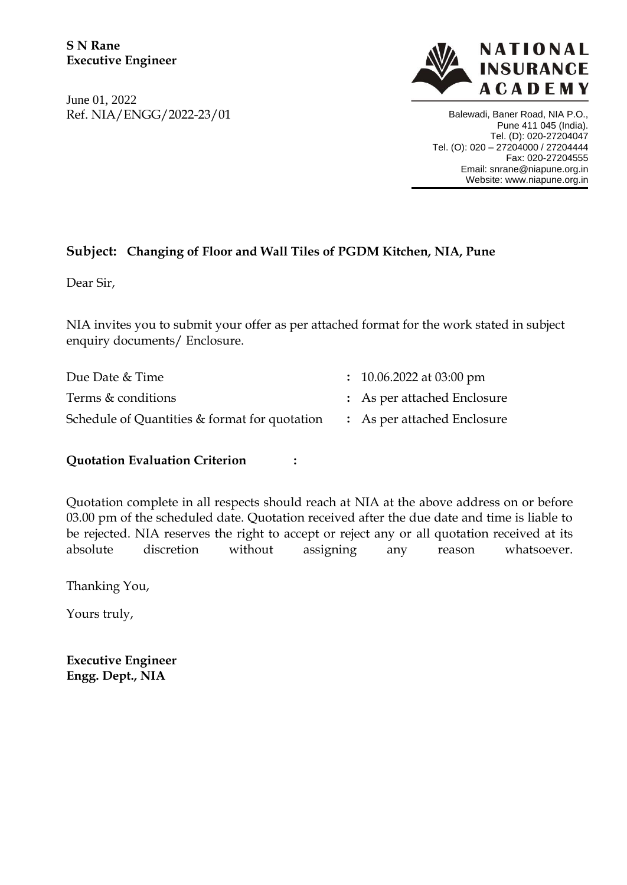June 01, 2022 Ref. NIA/ENGG/2022-23/01



Balewadi, Baner Road, NIA P.O., Pune 411 045 (India). Tel. (D): 020-27204047 Tel. (O): 020 – 27204000 / 27204444 Fax: 020-27204555 Email: snrane@niapune.org.in Website: www.niapune.org.in 

# **Subject: Changing of Floor and Wall Tiles of PGDM Kitchen, NIA, Pune**

Dear Sir,

NIA invites you to submit your offer as per attached format for the work stated in subject enquiry documents/ Enclosure.

| Due Date & Time                                                           | $\therefore$ 10.06.2022 at 03:00 pm |
|---------------------------------------------------------------------------|-------------------------------------|
| Terms & conditions                                                        | : As per attached Enclosure         |
| Schedule of Quantities & format for quotation : As per attached Enclosure |                                     |

## **Quotation Evaluation Criterion :**

Quotation complete in all respects should reach at NIA at the above address on or before 03.00 pm of the scheduled date. Quotation received after the due date and time is liable to be rejected. NIA reserves the right to accept or reject any or all quotation received at its absolute discretion without assigning any reason whatsoever.

Thanking You,

Yours truly,

**Executive Engineer Engg. Dept., NIA**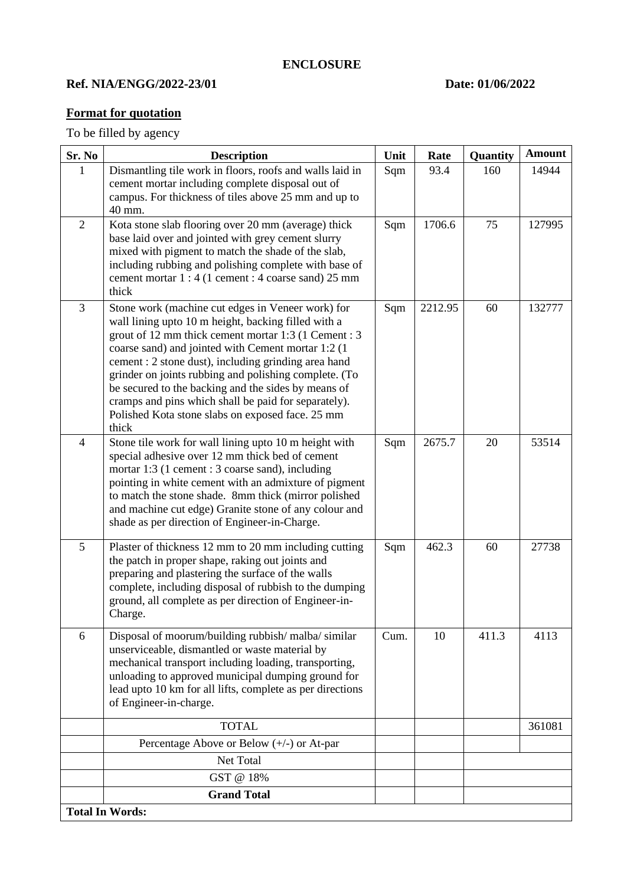## **Ref. NIA/ENGG/2022-23/01 Date: 01/06/2022**

# **Format for quotation**

To be filled by agency

| Sr. No         | <b>Description</b>                                                                                                                                                                                                                                                                                                                                                                                                                                                                                                  | Unit | Rate    | Quantity | <b>Amount</b> |
|----------------|---------------------------------------------------------------------------------------------------------------------------------------------------------------------------------------------------------------------------------------------------------------------------------------------------------------------------------------------------------------------------------------------------------------------------------------------------------------------------------------------------------------------|------|---------|----------|---------------|
| 1              | Dismantling tile work in floors, roofs and walls laid in<br>cement mortar including complete disposal out of<br>campus. For thickness of tiles above 25 mm and up to<br>40 mm.                                                                                                                                                                                                                                                                                                                                      | Sqm  | 93.4    | 160      | 14944         |
| $\overline{2}$ | Kota stone slab flooring over 20 mm (average) thick<br>base laid over and jointed with grey cement slurry<br>mixed with pigment to match the shade of the slab,<br>including rubbing and polishing complete with base of<br>cement mortar 1 : 4 (1 cement : 4 coarse sand) 25 mm<br>thick                                                                                                                                                                                                                           | Sqm  | 1706.6  | 75       | 127995        |
| $\overline{3}$ | Stone work (machine cut edges in Veneer work) for<br>wall lining upto 10 m height, backing filled with a<br>grout of 12 mm thick cement mortar 1:3 (1 Cement : 3<br>coarse sand) and jointed with Cement mortar 1:2 (1<br>cement : 2 stone dust), including grinding area hand<br>grinder on joints rubbing and polishing complete. (To<br>be secured to the backing and the sides by means of<br>cramps and pins which shall be paid for separately).<br>Polished Kota stone slabs on exposed face. 25 mm<br>thick | Sqm  | 2212.95 | 60       | 132777        |
| $\overline{4}$ | Stone tile work for wall lining upto 10 m height with<br>special adhesive over 12 mm thick bed of cement<br>mortar 1:3 (1 cement : 3 coarse sand), including<br>pointing in white cement with an admixture of pigment<br>to match the stone shade. 8mm thick (mirror polished<br>and machine cut edge) Granite stone of any colour and<br>shade as per direction of Engineer-in-Charge.                                                                                                                             | Sqm  | 2675.7  | 20       | 53514         |
| 5              | Plaster of thickness 12 mm to 20 mm including cutting<br>the patch in proper shape, raking out joints and<br>preparing and plastering the surface of the walls<br>complete, including disposal of rubbish to the dumping<br>ground, all complete as per direction of Engineer-in-<br>Charge.                                                                                                                                                                                                                        | Sqm  | 462.3   | 60       | 27738         |
| 6              | Disposal of moorum/building rubbish/ malba/ similar<br>unserviceable, dismantled or waste material by<br>mechanical transport including loading, transporting,<br>unloading to approved municipal dumping ground for<br>lead upto 10 km for all lifts, complete as per directions<br>of Engineer-in-charge.                                                                                                                                                                                                         | Cum. | 10      | 411.3    | 4113          |
|                | <b>TOTAL</b>                                                                                                                                                                                                                                                                                                                                                                                                                                                                                                        |      |         |          | 361081        |
|                | Percentage Above or Below $(+/-)$ or At-par                                                                                                                                                                                                                                                                                                                                                                                                                                                                         |      |         |          |               |
|                | Net Total                                                                                                                                                                                                                                                                                                                                                                                                                                                                                                           |      |         |          |               |
|                | GST @ 18%                                                                                                                                                                                                                                                                                                                                                                                                                                                                                                           |      |         |          |               |
|                | <b>Grand Total</b><br><b>Total In Words:</b>                                                                                                                                                                                                                                                                                                                                                                                                                                                                        |      |         |          |               |